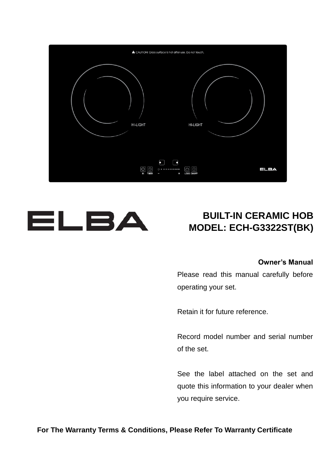



### **BUILT-IN CERAMIC HOB MODEL: ECH-G3322ST(BK)**

#### **Owner's Manual**

Please read this manual carefully before operating your set.

Retain it for future reference.

Record model number and serial number of the set.

See the label attached on the set and quote this information to your dealer when you require service.

**For The Warranty Terms & Conditions, Please Refer To Warranty Certificate**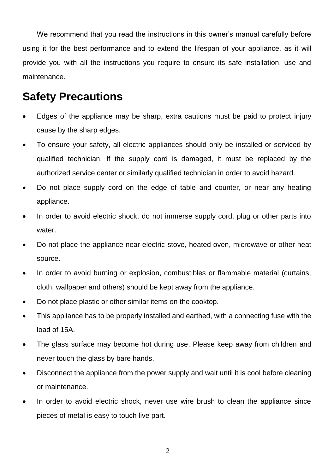We recommend that you read the instructions in this owner's manual carefully before using it for the best performance and to extend the lifespan of your appliance, as it will provide you with all the instructions you require to ensure its safe installation, use and maintenance.

### **Safety Precautions**

- Edges of the appliance may be sharp, extra cautions must be paid to protect injury cause by the sharp edges.
- To ensure your safety, all electric appliances should only be installed or serviced by qualified technician. If the supply cord is damaged, it must be replaced by the authorized service center or similarly qualified technician in order to avoid hazard.
- Do not place supply cord on the edge of table and counter, or near any heating appliance.
- In order to avoid electric shock, do not immerse supply cord, plug or other parts into water.
- Do not place the appliance near electric stove, heated oven, microwave or other heat source.
- In order to avoid burning or explosion, combustibles or flammable material (curtains, cloth, wallpaper and others) should be kept away from the appliance.
- Do not place plastic or other similar items on the cooktop.
- This appliance has to be properly installed and earthed, with a connecting fuse with the load of 15A.
- The glass surface may become hot during use. Please keep away from children and never touch the glass by bare hands.
- Disconnect the appliance from the power supply and wait until it is cool before cleaning or maintenance.
- In order to avoid electric shock, never use wire brush to clean the appliance since pieces of metal is easy to touch live part.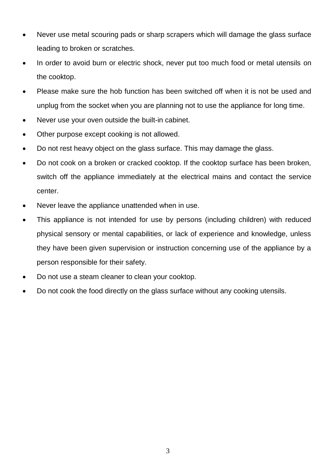- Never use metal scouring pads or sharp scrapers which will damage the glass surface leading to broken or scratches.
- In order to avoid burn or electric shock, never put too much food or metal utensils on the cooktop.
- Please make sure the hob function has been switched off when it is not be used and unplug from the socket when you are planning not to use the appliance for long time.
- Never use your oven outside the built-in cabinet.
- Other purpose except cooking is not allowed.
- Do not rest heavy object on the glass surface. This may damage the glass.
- Do not cook on a broken or cracked cooktop. If the cooktop surface has been broken, switch off the appliance immediately at the electrical mains and contact the service center.
- Never leave the appliance unattended when in use.
- This appliance is not intended for use by persons (including children) with reduced physical sensory or mental capabilities, or lack of experience and knowledge, unless they have been given supervision or instruction concerning use of the appliance by a person responsible for their safety.
- Do not use a steam cleaner to clean your cooktop.
- Do not cook the food directly on the glass surface without any cooking utensils.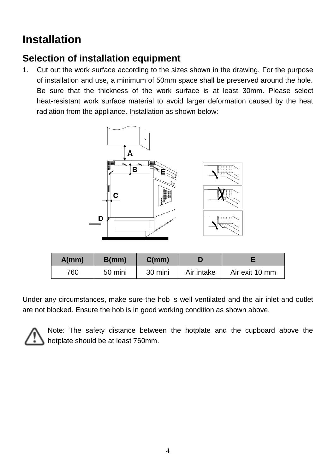# **Installation**

### **Selection of installation equipment**

1. Cut out the work surface according to the sizes shown in the drawing. For the purpose of installation and use, a minimum of 50mm space shall be preserved around the hole. Be sure that the thickness of the work surface is at least 30mm. Please select heat-resistant work surface material to avoid larger deformation caused by the heat radiation from the appliance. Installation as shown below:



| A/mm | B(mm)   | C(mm)   |            |                |
|------|---------|---------|------------|----------------|
| 760  | 50 mini | 30 mini | Air intake | Air exit 10 mm |

Under any circumstances, make sure the hob is well ventilated and the air inlet and outlet are not blocked. Ensure the hob is in good working condition as shown above.



Note: The safety distance between the hotplate and the cupboard above the hotplate should be at least 760mm.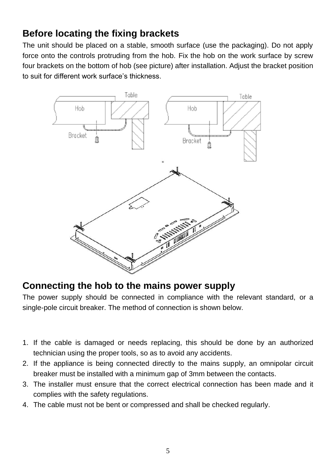### **Before locating the fixing brackets**

The unit should be placed on a stable, smooth surface (use the packaging). Do not apply force onto the controls protruding from the hob. Fix the hob on the work surface by screw four brackets on the bottom of hob (see picture) after installation. Adjust the bracket position to suit for different work surface's thickness.



### **Connecting the hob to the mains power supply**

The power supply should be connected in compliance with the relevant standard, or a single-pole circuit breaker. The method of connection is shown below.

- 1. If the cable is damaged or needs replacing, this should be done by an authorized technician using the proper tools, so as to avoid any accidents.
- 2. If the appliance is being connected directly to the mains supply, an omnipolar circuit breaker must be installed with a minimum gap of 3mm between the contacts.
- 3. The installer must ensure that the correct electrical connection has been made and it complies with the safety regulations.
- 4. The cable must not be bent or compressed and shall be checked regularly.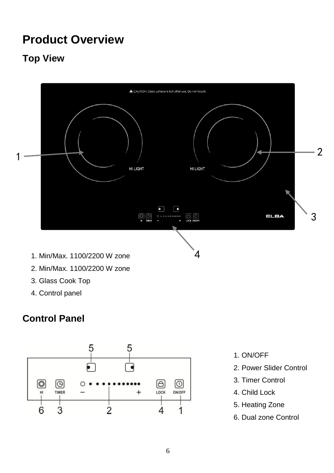# **Product Overview**

### **Top View**



- 2. Min/Max. 1100/2200 W zone
- 3. Glass Cook Top
- 4. Control panel

### **Control Panel**



- 1. ON/OFF
- 2. Power Slider Control
- 3. Timer Control
- 4. Child Lock
- 5. Heating Zone
- 6. Dual zone Control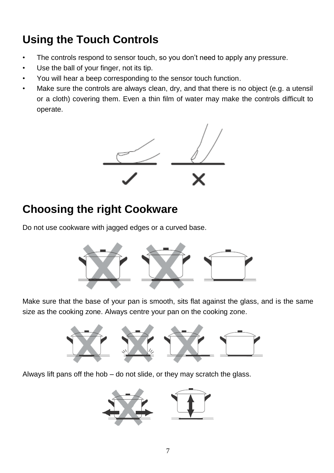# **Using the Touch Controls**

- The controls respond to sensor touch, so you don't need to apply any pressure.
- Use the ball of your finger, not its tip.
- You will hear a beep corresponding to the sensor touch function.
- Make sure the controls are always clean, dry, and that there is no object (e.g. a utensil or a cloth) covering them. Even a thin film of water may make the controls difficult to operate.



# **Choosing the right Cookware**

Do not use cookware with jagged edges or a curved base.



Make sure that the base of your pan is smooth, sits flat against the glass, and is the same size as the cooking zone. Always centre your pan on the cooking zone.



Always lift pans off the hob – do not slide, or they may scratch the glass.

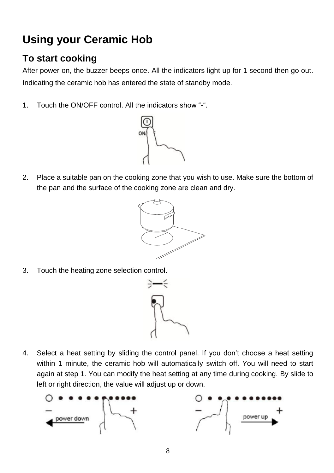# **Using your Ceramic Hob**

### **To start cooking**

After power on, the buzzer beeps once. All the indicators light up for 1 second then go out. Indicating the ceramic hob has entered the state of standby mode.

1. Touch the ON/OFF control. All the indicators show "-".



2. Place a suitable pan on the cooking zone that you wish to use. Make sure the bottom of the pan and the surface of the cooking zone are clean and dry.



3. Touch the heating zone selection control.



4. Select a heat setting by sliding the control panel. If you don't choose a heat setting within 1 minute, the ceramic hob will automatically switch off. You will need to start again at step 1. You can modify the heat setting at any time during cooking. By slide to left or right direction, the value will adjust up or down.

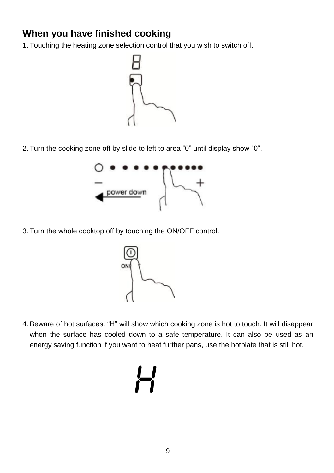### **When you have finished cooking**

1. Touching the heating zone selection control that you wish to switch off.



2. Turn the cooking zone off by slide to left to area "0" until display show "0".



3. Turn the whole cooktop off by touching the ON/OFF control.



4.Beware of hot surfaces. "H" will show which cooking zone is hot to touch. It will disappear when the surface has cooled down to a safe temperature. It can also be used as an energy saving function if you want to heat further pans, use the hotplate that is still hot.

# $\overline{L}$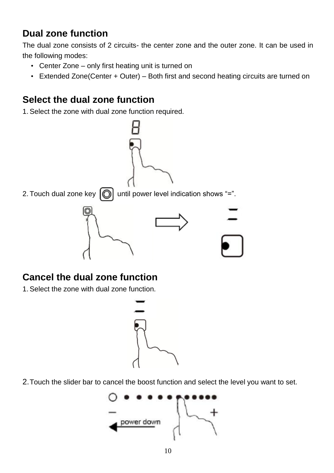### **Dual zone function**

The dual zone consists of 2 circuits- the center zone and the outer zone. It can be used in the following modes:

- Center Zone only first heating unit is turned on
- Extended Zone(Center + Outer) Both first and second heating circuits are turned on

### **Select the dual zone function**

1.Select the zone with dual zone function required.



### **Cancel the dual zone function**

1.Select the zone with dual zone function.



2.Touch the slider bar to cancel the boost function and select the level you want to set.

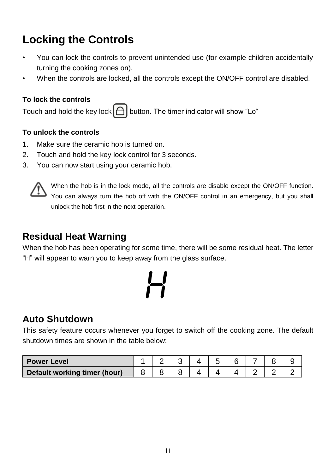# **Locking the Controls**

- You can lock the controls to prevent unintended use (for example children accidentally turning the cooking zones on).
- When the controls are locked, all the controls except the ON/OFF control are disabled.

#### **To lock the controls**

Touch and hold the key lock  $\Box$  button. The timer indicator will show "Lo"

#### **To unlock the controls**

- 1. Make sure the ceramic hob is turned on.
- 2. Touch and hold the key lock control for 3 seconds.
- 3. You can now start using your ceramic hob.



When the hob is in the lock mode, all the controls are disable except the ON/OFF function. You can always turn the hob off with the ON/OFF control in an emergency, but you shall unlock the hob first in the next operation.

### **Residual Heat Warning**

When the hob has been operating for some time, there will be some residual heat. The letter "H" will appear to warn you to keep away from the glass surface.



### **Auto Shutdown**

This safety feature occurs whenever you forget to switch off the cooking zone. The default shutdown times are shown in the table below:

| <b>Power Level</b>           |  |  |  |  |  |
|------------------------------|--|--|--|--|--|
| Default working timer (hour) |  |  |  |  |  |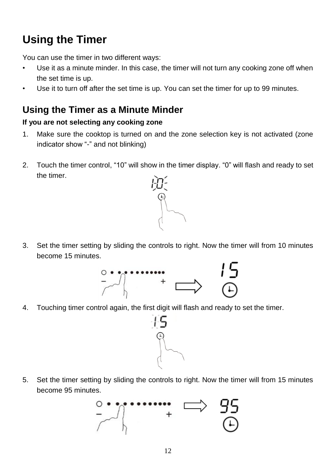# **Using the Timer**

You can use the timer in two different ways:

- Use it as a minute minder. In this case, the timer will not turn any cooking zone off when the set time is up.
- Use it to turn off after the set time is up. You can set the timer for up to 99 minutes.

### **Using the Timer as a Minute Minder**

#### **If you are not selecting any cooking zone**

- 1. Make sure the cooktop is turned on and the zone selection key is not activated (zone indicator show "-" and not blinking)
- 2. Touch the timer control, "10" will show in the timer display. "0" will flash and ready to set the timer.



3. Set the timer setting by sliding the controls to right. Now the timer will from 10 minutes become 15 minutes.



4. Touching timer control again, the first digit will flash and ready to set the timer.



5. Set the timer setting by sliding the controls to right. Now the timer will from 15 minutes become 95 minutes.

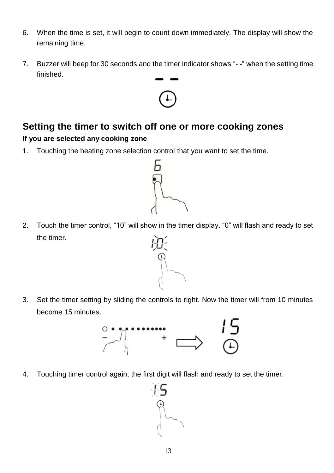- 6. When the time is set, it will begin to count down immediately. The display will show the remaining time.
- 7. Buzzer will beep for 30 seconds and the timer indicator shows "- -" when the setting time finished.



### **Setting the timer to switch off one or more cooking zones If you are selected any cooking zone**

1. Touching the heating zone selection control that you want to set the time.



- 2. Touch the timer control, "10" will show in the timer display. "0" will flash and ready to set the timer.
- 3. Set the timer setting by sliding the controls to right. Now the timer will from 10 minutes become 15 minutes.



4. Touching timer control again, the first digit will flash and ready to set the timer.

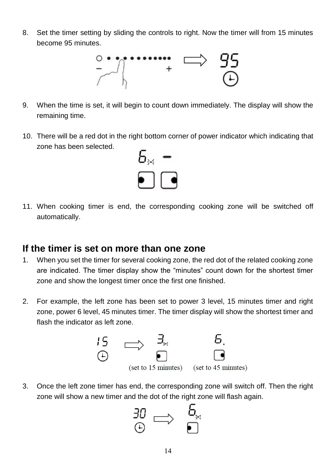8. Set the timer setting by sliding the controls to right. Now the timer will from 15 minutes become 95 minutes.



- 9. When the time is set, it will begin to count down immediately. The display will show the remaining time.
- 10. There will be a red dot in the right bottom corner of power indicator which indicating that zone has been selected.



11. When cooking timer is end, the corresponding cooking zone will be switched off automatically.

### **If the timer is set on more than one zone**

- 1. When you set the timer for several cooking zone, the red dot of the related cooking zone are indicated. The timer display show the "minutes" count down for the shortest timer zone and show the longest timer once the first one finished.
- 2. For example, the left zone has been set to power 3 level, 15 minutes timer and right zone, power 6 level, 45 minutes timer. The timer display will show the shortest timer and flash the indicator as left zone.



3. Once the left zone timer has end, the corresponding zone will switch off. Then the right zone will show a new timer and the dot of the right zone will flash again.

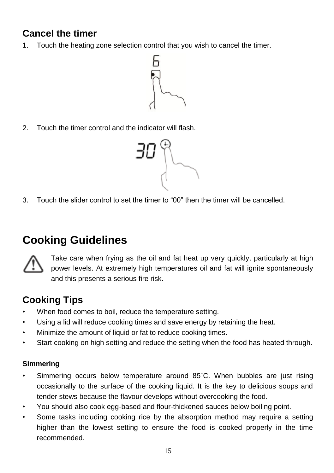### **Cancel the timer**

1. Touch the heating zone selection control that you wish to cancel the timer.



2. Touch the timer control and the indicator will flash.



3. Touch the slider control to set the timer to "00" then the timer will be cancelled.

# **Cooking Guidelines**



Take care when frying as the oil and fat heat up very quickly, particularly at high power levels. At extremely high temperatures oil and fat will ignite spontaneously and this presents a serious fire risk.

### **Cooking Tips**

- When food comes to boil, reduce the temperature setting.
- Using a lid will reduce cooking times and save energy by retaining the heat.
- Minimize the amount of liquid or fat to reduce cooking times.
- Start cooking on high setting and reduce the setting when the food has heated through.

#### **Simmering**

- Simmering occurs below temperature around 85˚C. When bubbles are just rising occasionally to the surface of the cooking liquid. It is the key to delicious soups and tender stews because the flavour develops without overcooking the food.
- You should also cook egg-based and flour-thickened sauces below boiling point.
- Some tasks including cooking rice by the absorption method may require a setting higher than the lowest setting to ensure the food is cooked properly in the time recommended.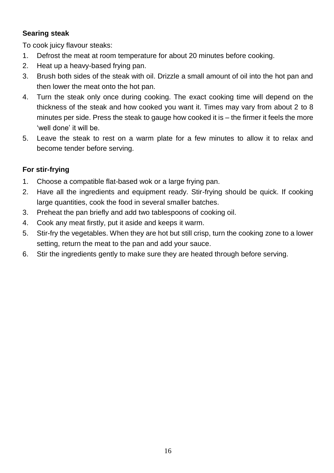#### **Searing steak**

To cook juicy flavour steaks:

- 1. Defrost the meat at room temperature for about 20 minutes before cooking.
- 2. Heat up a heavy-based frying pan.
- 3. Brush both sides of the steak with oil. Drizzle a small amount of oil into the hot pan and then lower the meat onto the hot pan.
- 4. Turn the steak only once during cooking. The exact cooking time will depend on the thickness of the steak and how cooked you want it. Times may vary from about 2 to 8 minutes per side. Press the steak to gauge how cooked it is – the firmer it feels the more 'well done' it will be.
- 5. Leave the steak to rest on a warm plate for a few minutes to allow it to relax and become tender before serving.

#### **For stir-frying**

- 1. Choose a compatible flat-based wok or a large frying pan.
- 2. Have all the ingredients and equipment ready. Stir-frying should be quick. If cooking large quantities, cook the food in several smaller batches.
- 3. Preheat the pan briefly and add two tablespoons of cooking oil.
- 4. Cook any meat firstly, put it aside and keeps it warm.
- 5. Stir-fry the vegetables. When they are hot but still crisp, turn the cooking zone to a lower setting, return the meat to the pan and add your sauce.
- 6. Stir the ingredients gently to make sure they are heated through before serving.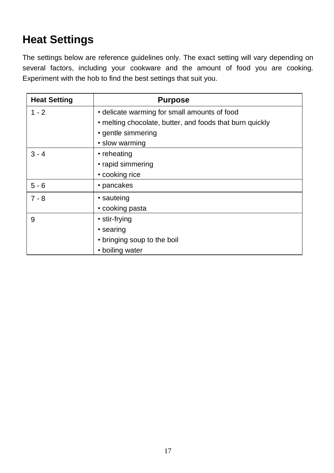# **Heat Settings**

The settings below are reference guidelines only. The exact setting will vary depending on several factors, including your cookware and the amount of food you are cooking. Experiment with the hob to find the best settings that suit you.

| <b>Heat Setting</b> | <b>Purpose</b>                                           |  |
|---------------------|----------------------------------------------------------|--|
| $1 - 2$             | • delicate warming for small amounts of food             |  |
|                     | • melting chocolate, butter, and foods that burn quickly |  |
|                     | • gentle simmering                                       |  |
|                     | · slow warming                                           |  |
| $3 - 4$             | • reheating                                              |  |
|                     | • rapid simmering                                        |  |
|                     | • cooking rice                                           |  |
| $5 - 6$             | • pancakes                                               |  |
| $7 - 8$             | • sauteing                                               |  |
|                     | • cooking pasta                                          |  |
| 9                   | • stir-frying                                            |  |
|                     | • searing                                                |  |
|                     | • bringing soup to the boil                              |  |
|                     | • boiling water                                          |  |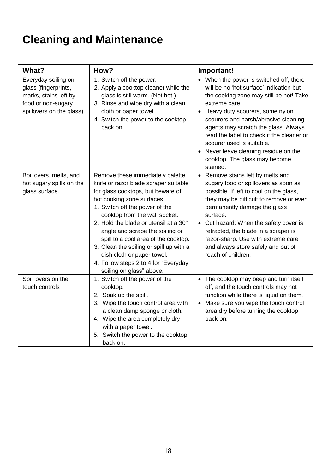# **Cleaning and Maintenance**

| What?                                                                                                                  | How?                                                                                                                                                                                                                                                                                                                                                                                                                                                                             | Important!                                                                                                                                                                                                                                                                                                                                                                                                                          |
|------------------------------------------------------------------------------------------------------------------------|----------------------------------------------------------------------------------------------------------------------------------------------------------------------------------------------------------------------------------------------------------------------------------------------------------------------------------------------------------------------------------------------------------------------------------------------------------------------------------|-------------------------------------------------------------------------------------------------------------------------------------------------------------------------------------------------------------------------------------------------------------------------------------------------------------------------------------------------------------------------------------------------------------------------------------|
| Everyday soiling on<br>glass (fingerprints,<br>marks, stains left by<br>food or non-sugary<br>spillovers on the glass) | 1. Switch off the power.<br>2. Apply a cooktop cleaner while the<br>glass is still warm. (Not hot!)<br>3. Rinse and wipe dry with a clean<br>cloth or paper towel.<br>4. Switch the power to the cooktop<br>back on.                                                                                                                                                                                                                                                             | • When the power is switched off, there<br>will be no 'hot surface' indication but<br>the cooking zone may still be hot! Take<br>extreme care.<br>• Heavy duty scourers, some nylon<br>scourers and harsh/abrasive cleaning<br>agents may scratch the glass. Always<br>read the label to check if the cleaner or<br>scourer used is suitable.<br>• Never leave cleaning residue on the<br>cooktop. The glass may become<br>stained. |
| Boil overs, melts, and<br>hot sugary spills on the<br>glass surface.                                                   | Remove these immediately palette<br>knife or razor blade scraper suitable<br>for glass cooktops, but beware of<br>hot cooking zone surfaces:<br>1. Switch off the power of the<br>cooktop from the wall socket.<br>2. Hold the blade or utensil at a 30°<br>angle and scrape the soiling or<br>spill to a cool area of the cooktop.<br>3. Clean the soiling or spill up with a<br>dish cloth or paper towel.<br>4. Follow steps 2 to 4 for "Everyday<br>soiling on glass" above. | • Remove stains left by melts and<br>sugary food or spillovers as soon as<br>possible. If left to cool on the glass,<br>they may be difficult to remove or even<br>permanently damage the glass<br>surface.<br>• Cut hazard: When the safety cover is<br>retracted, the blade in a scraper is<br>razor-sharp. Use with extreme care<br>and always store safely and out of<br>reach of children.                                     |
| Spill overs on the<br>touch controls                                                                                   | 1. Switch off the power of the<br>cooktop.<br>2. Soak up the spill.<br>3. Wipe the touch control area with<br>a clean damp sponge or cloth.<br>4. Wipe the area completely dry<br>with a paper towel.<br>5. Switch the power to the cooktop<br>back on.                                                                                                                                                                                                                          | • The cooktop may beep and turn itself<br>off, and the touch controls may not<br>function while there is liquid on them.<br>Make sure you wipe the touch control<br>$\bullet$<br>area dry before turning the cooktop<br>back on.                                                                                                                                                                                                    |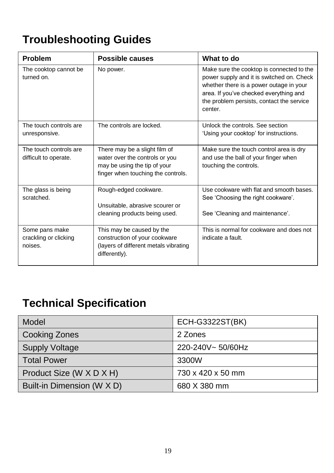# **Troubleshooting Guides**

| <b>Problem</b>                                     | Possible causes                                                                                                                       | What to do                                                                                                                                                                                                                          |
|----------------------------------------------------|---------------------------------------------------------------------------------------------------------------------------------------|-------------------------------------------------------------------------------------------------------------------------------------------------------------------------------------------------------------------------------------|
| The cooktop cannot be<br>turned on.                | No power.                                                                                                                             | Make sure the cooktop is connected to the<br>power supply and it is switched on. Check<br>whether there is a power outage in your<br>area. If you've checked everything and<br>the problem persists, contact the service<br>center. |
| The touch controls are<br>unresponsive.            | The controls are locked.                                                                                                              | Unlock the controls. See section<br>'Using your cooktop' for instructions.                                                                                                                                                          |
| The touch controls are<br>difficult to operate.    | There may be a slight film of<br>water over the controls or you<br>may be using the tip of your<br>finger when touching the controls. | Make sure the touch control area is dry<br>and use the ball of your finger when<br>touching the controls.                                                                                                                           |
| The glass is being<br>scratched.                   | Rough-edged cookware.<br>Unsuitable, abrasive scourer or<br>cleaning products being used.                                             | Use cookware with flat and smooth bases.<br>See 'Choosing the right cookware'.<br>See 'Cleaning and maintenance'.                                                                                                                   |
| Some pans make<br>crackling or clicking<br>noises. | This may be caused by the<br>construction of your cookware<br>(layers of different metals vibrating<br>differently).                  | This is normal for cookware and does not<br>indicate a fault.                                                                                                                                                                       |

# **Technical Specification**

| Model                      | <b>ECH-G3322ST(BK)</b> |
|----------------------------|------------------------|
| Cooking Zones              | 2 Zones                |
| <b>Supply Voltage</b>      | 220-240V~50/60Hz       |
| <b>Total Power</b>         | 3300W                  |
| Product Size (W X D X H)   | 730 x 420 x 50 mm      |
| Built-in Dimension (W X D) | 680 X 380 mm           |